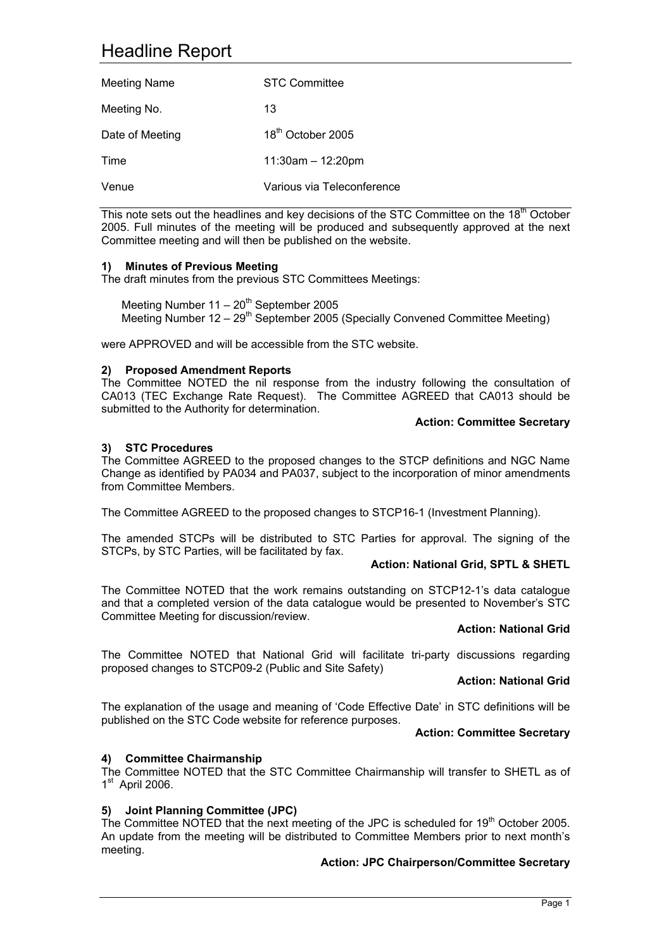# Headline Report

| <b>Meeting Name</b> | <b>STC Committee</b>          |
|---------------------|-------------------------------|
| Meeting No.         | 13                            |
| Date of Meeting     | 18 <sup>th</sup> October 2005 |
| Time                | $11:30am - 12:20pm$           |
| Venue               | Various via Teleconference    |

This note sets out the headlines and key decisions of the STC Committee on the 18<sup>th</sup> October 2005. Full minutes of the meeting will be produced and subsequently approved at the next Committee meeting and will then be published on the website.

## **1) Minutes of Previous Meeting**

The draft minutes from the previous STC Committees Meetings:

Meeting Number  $11 - 20<sup>th</sup>$  September 2005 Meeting Number 12 – 29th September 2005 (Specially Convened Committee Meeting)

were APPROVED and will be accessible from the STC website.

## **2) Proposed Amendment Reports**

The Committee NOTED the nil response from the industry following the consultation of CA013 (TEC Exchange Rate Request). The Committee AGREED that CA013 should be submitted to the Authority for determination.

#### **Action: Committee Secretary**

# **3) STC Procedures**

The Committee AGREED to the proposed changes to the STCP definitions and NGC Name Change as identified by PA034 and PA037, subject to the incorporation of minor amendments from Committee Members.

The Committee AGREED to the proposed changes to STCP16-1 (Investment Planning).

The amended STCPs will be distributed to STC Parties for approval. The signing of the STCPs, by STC Parties, will be facilitated by fax.

#### **Action: National Grid, SPTL & SHETL**

The Committee NOTED that the work remains outstanding on STCP12-1's data catalogue and that a completed version of the data catalogue would be presented to November's STC Committee Meeting for discussion/review.

#### **Action: National Grid**

The Committee NOTED that National Grid will facilitate tri-party discussions regarding proposed changes to STCP09-2 (Public and Site Safety)

## **Action: National Grid**

The explanation of the usage and meaning of 'Code Effective Date' in STC definitions will be published on the STC Code website for reference purposes.

#### **Action: Committee Secretary**

#### **4) Committee Chairmanship**

The Committee NOTED that the STC Committee Chairmanship will transfer to SHETL as of  $1<sup>st</sup>$  April 2006.

#### **5) Joint Planning Committee (JPC)**

The Committee NOTED that the next meeting of the JPC is scheduled for 19<sup>th</sup> October 2005. An update from the meeting will be distributed to Committee Members prior to next month's meeting.

#### **Action: JPC Chairperson/Committee Secretary**